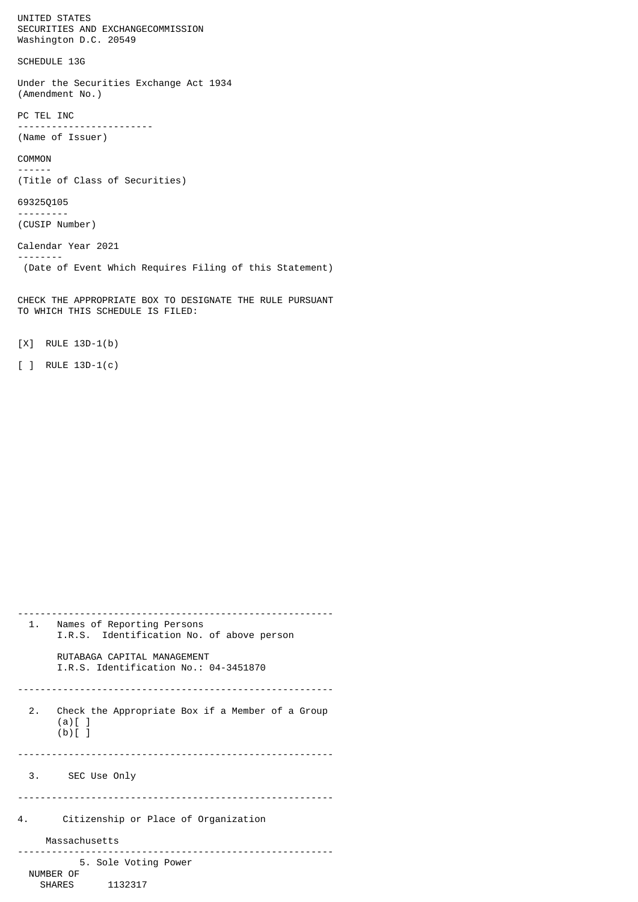UNITED STATES SECURITIES AND EXCHANGECOMMISSION Washington D.C. 20549

SCHEDULE 13G

Under the Securities Exchange Act 1934 (Amendment No.)

PC TEL INC ------------------------ (Name of Issuer)

COMMON ------

(Title of Class of Securities)

## 69325Q105

--------

--------- (CUSIP Number)

Calendar Year 2021

(Date of Event Which Requires Filing of this Statement)

CHECK THE APPROPRIATE BOX TO DESIGNATE THE RULE PURSUANT TO WHICH THIS SCHEDULE IS FILED:

[X] RULE 13D-1(b)

[ ] RULE 13D-1(c)

| 1.        | Names of Reporting Persons<br>I.R.S. Identification No. of above person       |
|-----------|-------------------------------------------------------------------------------|
|           | RUTABAGA CAPTTAI MANAGEMENT<br>I.R.S. Identification No.: 04-3451870          |
|           | 2. Check the Appropriate Box if a Member of a Group<br>$(a)$ [ ]<br>$(b)$ [ ] |
|           | 3. SEC Use Only                                                               |
| 4.        | Citizenship or Place of Organization                                          |
|           | Massachusetts                                                                 |
| NUMBER OF | 5. Sole Voting Power<br>SHARES 1132317                                        |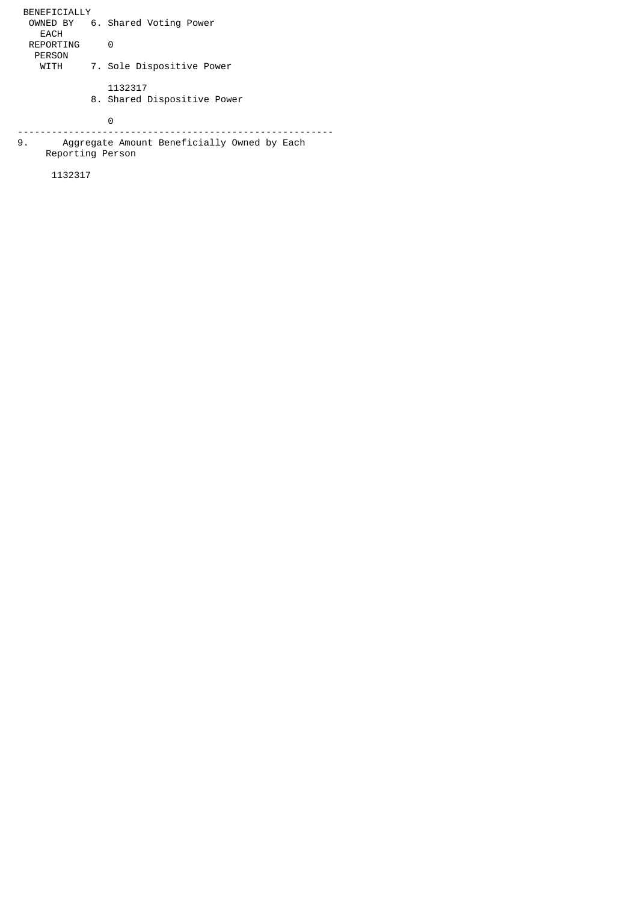BENEFICIALLY OWNED BY 6. Shared Voting Power EACH REPORTING 0 PERSON<br>WITH 7. Sole Dispositive Power 1132317 8. Shared Dispositive Power 0 -------------------------------------------------------- 9. Aggregate Amount Beneficially Owned by Each Reporting Person

1132317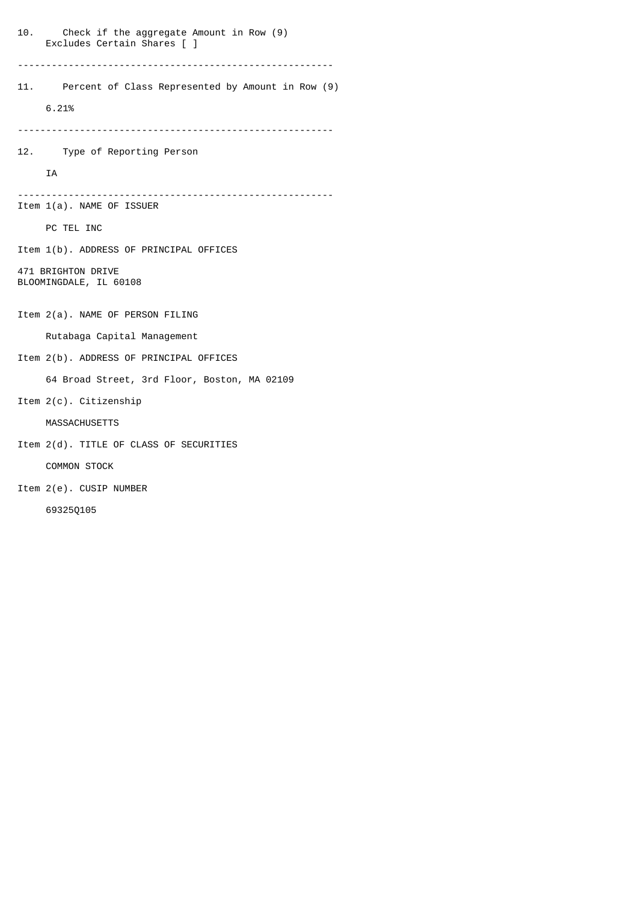| 10.<br>Check if the aggregate Amount in Row (9)<br>Excludes Certain Shares [ ] |  |
|--------------------------------------------------------------------------------|--|
| Percent of Class Represented by Amount in Row (9)<br>11.<br>6.21%              |  |
|                                                                                |  |
| 12. Type of Reporting Person                                                   |  |
| <b>IA</b>                                                                      |  |
| $Item 1(a)$ . NAME OF ISSUER                                                   |  |
| PC TEL INC                                                                     |  |
| Item 1(b). ADDRESS OF PRINCIPAL OFFICES                                        |  |
| 471 BRIGHTON DRIVE<br>BLOOMINGDALE, IL 60108                                   |  |
| Item 2(a). NAME OF PERSON FILING                                               |  |
| Rutabaga Capital Management                                                    |  |
| Item 2(b). ADDRESS OF PRINCIPAL OFFICES                                        |  |
| 64 Broad Street, 3rd Floor, Boston, MA 02109                                   |  |
| Item 2(c). Citizenship                                                         |  |
| <b>MASSACHUSETTS</b>                                                           |  |
| Item 2(d). TITLE OF CLASS OF SECURITIES                                        |  |
| <b>COMMON STOCK</b>                                                            |  |
| Item 2(e). CUSIP NUMBER                                                        |  |
| 693250105                                                                      |  |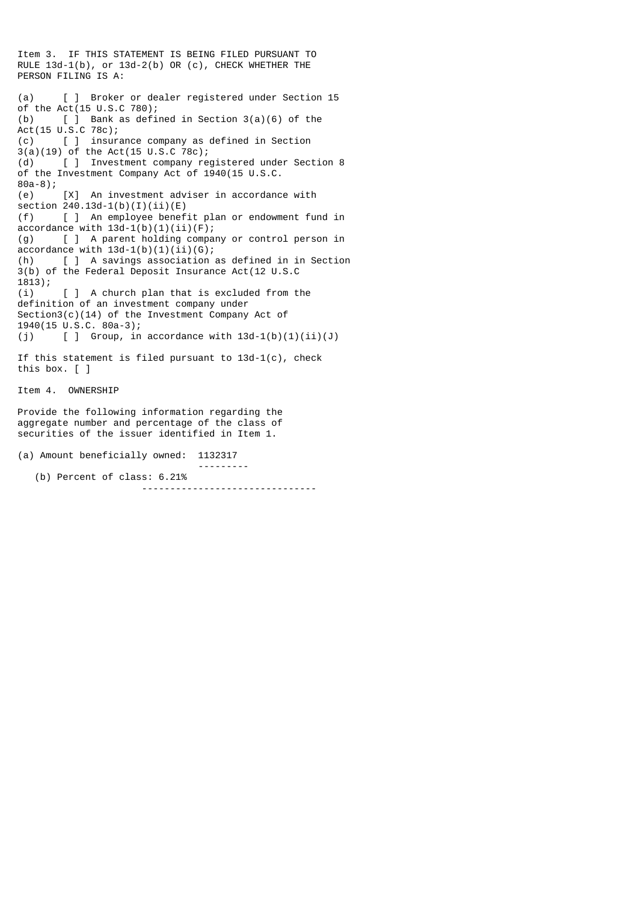Item 3. IF THIS STATEMENT IS BEING FILED PURSUANT TO RULE 13d-1(b), or 13d-2(b) OR (c), CHECK WHETHER THE PERSON FILING IS A: (a) [ ] Broker or dealer registered under Section 15 of the  $Act(15 U.S.C.780);$ (b)  $\left[\begin{array}{ccc} \end{array}\right]$  Bank as defined in Section 3(a)(6) of the Act(15 U.S.C 78c); (c) [ ] insurance company as defined in Section  $3(a)(19)$  of the Act(15 U.S.C 78c);<br>(d)  $[$  ] Investment company re [ ] Investment company registered under Section 8 of the Investment Company Act of 1940(15 U.S.C. 80a-8); (e) [X] An investment adviser in accordance with section 240.13d-1(b)(I)(ii)(E) (f) [ ] An employee benefit plan or endowment fund in accordance with  $13d-1(b)(1)(ii)(F)$ ; (g) [ ] A parent holding company or control person in  $accordance$  with  $13d-1(b)(1)(ii)(G)$ ; (h) [ ] A savings association as defined in in Section 3(b) of the Federal Deposit Insurance Act(12 U.S.C 1813); (i) [ ] A church plan that is excluded from the definition of an investment company under Section3(c)(14) of the Investment Company Act of 1940(15 U.S.C. 80a-3); (j)  $\left[\begin{array}{cc} \end{array}\right]$  Group, in accordance with  $13d-1(b)(1)(ii)(J)$ If this statement is filed pursuant to 13d-1(c), check this box. [ ] Item 4. OWNERSHIP Provide the following information regarding the aggregate number and percentage of the class of securities of the issuer identified in Item 1.

(a) Amount beneficially owned: 1132317

(b) Percent of class: 6.21%

-------------------------------

---------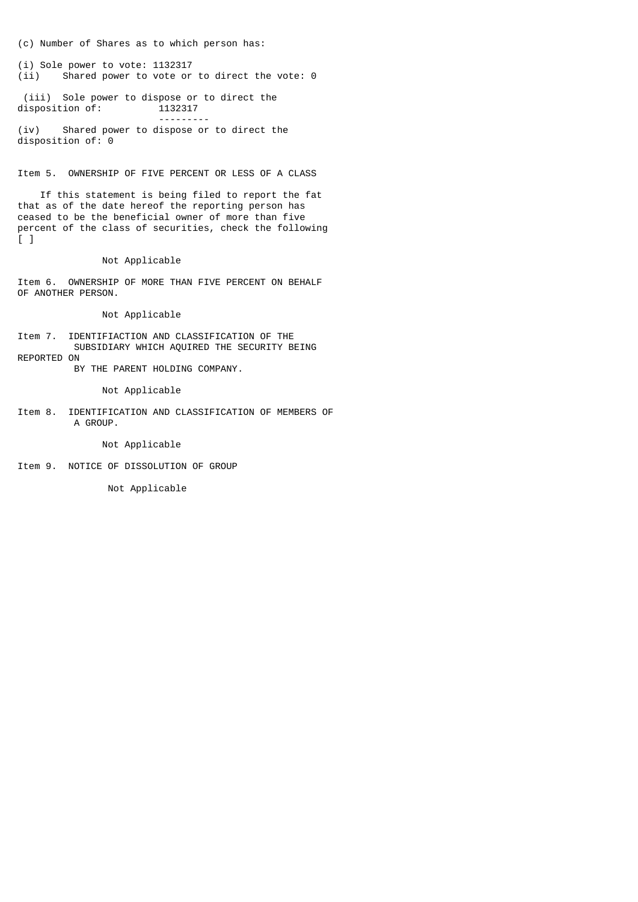(c) Number of Shares as to which person has:

(i) Sole power to vote: 1132317<br>(ii) Shared power to vote or Shared power to vote or to direct the vote:  $0$ 

(iii) Sole power to dispose or to direct the<br>disposition of: 1132317 disposition of:

 --------- (iv) Shared power to dispose or to direct the disposition of: 0

Item 5. OWNERSHIP OF FIVE PERCENT OR LESS OF A CLASS

 If this statement is being filed to report the fat that as of the date hereof the reporting person has ceased to be the beneficial owner of more than five percent of the class of securities, check the following [ ]

Not Applicable

Item 6. OWNERSHIP OF MORE THAN FIVE PERCENT ON BEHALF OF ANOTHER PERSON.

Not Applicable

Item 7. IDENTIFIACTION AND CLASSIFICATION OF THE SUBSIDIARY WHICH AQUIRED THE SECURITY BEING REPORTED ON

BY THE PARENT HOLDING COMPANY.

Not Applicable

Item 8. IDENTIFICATION AND CLASSIFICATION OF MEMBERS OF A GROUP.

Not Applicable

Item 9. NOTICE OF DISSOLUTION OF GROUP

Not Applicable